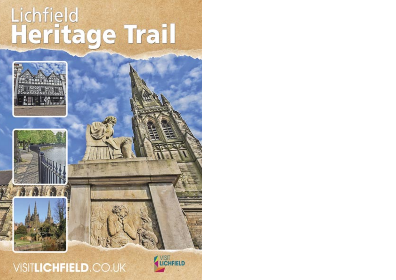# Lichfield<br>Heritage Trail







VISITLICHFIELD.CO.UK

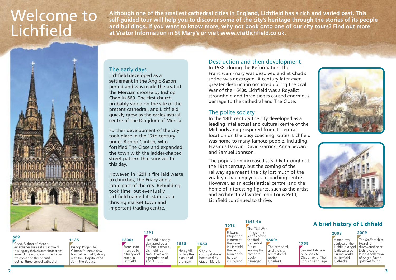# Welcome to Lichfield

**Although one of the smallest cathedral cities in England, Lichfield has a rich and varied past. This self-guided tour will help you to discover some of the city's heritage through the stories of its people and buildings. If you want to know more, why not book onto one of our city tours? Find out more at Visitor Information in St Mary's or visit www.visitlichfield.co.uk.**



#### The early days

Lichfield developed as a settlement in the Anglo-Saxon period and was made the seat of the Mercian diocese by Bishop Chad in 669. The first church probably stood on the site of the present cathedral, and Lichfield quickly grew as the ecclesiastical centre of the Kingdom of Mercia.

Further development of the city took place in the 12th century under Bishop Clinton, who fortified The Close and expanded the town with the ladder-shaped street pattern that survives to this day.

However, in 1291 a fire laid waste to churches, the Friary and a large part of the city. Rebuilding took time, but eventually Lichfield gained its status as a thriving market town and important trading centre.

> **Franciscan** friars build a friary and settle in Lichfield.

#### Destruction and then development

In 1538, during the Reformation, the Franciscan Friary was dissolved and St Chad's shrine was destroyed. A century later even greater destruction occurred during the Civil War of the 1640s. Lichfield was a Royalist stronghold and three sieges caused enormous damage to the cathedral and The Close.

#### The polite society

In the 18th century the city developed as a leading intellectual and cultural centre of the Midlands and prospered from its central location on the busy coaching routes. Lichfield was home to many famous people, including Erasmus Darwin, David Garrick, Anna Seward and Samuel Johnson.

The population increased steadily throughout the 19th century, but the coming of the railway age meant the city lost much of the vitality it had enjoyed as a coaching centre. However, as an ecclesiastical centre, and the home of interesting figures, such as the artist and architectural writer John Louis Petit, Lichfield continued to thrive.





**A brief history of Lichfield**

#### **669**

Chad, Bishop of Mercia, **1755 Chad, Bishop of Mercia, 1755 1755 Chad, Bishop of Mercia, 1755** establishes his seat at Lichfield. His legacy thrives as visitors from around the world continue to be welcomed to the beautiful gothic, three spired cathedral.

#### **1135 1230s**

Bishop Roger De Clinton founds a new town at Lichfield, along with the Hospital of St John the Baptist.

**1291** Lichfield is badly damaged by a fire but is rebuilt. Lichfield is a small town with a population of about 1,500.

**1538 1553** Henry VIII orders the closure of the friary. City and county status is bestowed by Queen Mary I.

**1612 1643-46 F**dward Wightman is burnt at the stake in Lichfield, the last burning for heresy in England. The Civil War brings three sieges of the fortified Cathedral Close leaving the cathedral badly damaged.

**1660s** The cathedral and the city are restored under Charles II.

#### **2003** A medieval sculpture, the Samuel Johnson publishes A

Dictionary of The English Language.

Lichfield Angel, is discovered during works in Lichfield Cathedral.

The Staffordshire Hoard is discovered near Lichfield, the largest collection of Anglo-Saxon gold yet found. **2009**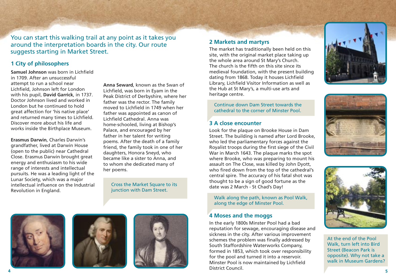You can start this walking trail at any point as it takes you around the interpretation boards in the city. Our route suggests starting in Market Street.

#### **1 City of philosophers**

**Samuel Johnson** was born in Lichfield in 1709. After an unsuccessful attempt to run a school near Lichfield, Johnson left for London with his pupil, **David Garrick**, in 1737. Doctor Johnson lived and worked in London but he continued to hold great affection for 'his native place' and returned many times to Lichfield. Discover more about his life and works inside the Birthplace Museum.

**Erasmus Darwin**, Charles Darwin's grandfather, lived at Darwin House (open to the public) near Cathedral Close. Erasmus Darwin brought great energy and enthusiasm to his wide range of interests and intellectual pursuits. He was a leading light of the Lunar Society, which was a major intellectual influence on the Industrial Revolution in England.

**Anna Seward**, known as the Swan of Lichfield, was born in Eyam in the Peak District of Derbyshire, where her father was the rector. The family moved to Lichfield in 1749 when her father was appointed as canon of Lichfield Cathedral. Anna was home-schooled, living at Bishop's Palace, and encouraged by her father in her talent for writing poems. After the death of a family friend, the family took in one of her daughters, Honora Sneyd, who became like a sister to Anna, and to whom she dedicated many of her poems.

Cross the Market Square to its junction with Dam Street.

#### **2 Markets and martyrs**

The market has traditionally been held on this site, with the original market place taking up the whole area around St Mary's Church. The church is the fifth on this site since its medieval foundation, with the present building dating from 1868. Today it houses Lichfield Library, Lichfield Visitor Information as well as the Hub at St Mary's, a multi-use arts and heritage centre.

Continue down Dam Street towards the cathedral to the corner of Minster Pool.

#### **3 A close encounter**

Look for the plaque on Brooke House in Dam Street. The building is named after Lord Brooke, who led the parliamentary forces against the Royalist troops during the first siege of the Civil War in March 1643. The plaque marks the spot where Brooke, who was preparing to mount his assault on The Close, was killed by John Dyott, who fired down from the top of the cathedral's central spire. The accuracy of his fatal shot was thought to be a sign of good fortune as the date was 2 March - St Chad's Day!

Walk along the path, known as Pool Walk, along the edge of Minster Pool.

#### **4 Moses and the moggs**

In the early 1800s Minster Pool had a bad reputation for sewage, encouraging disease and sickness in the city. After various improvement schemes the problem was finally addressed by South Staffordshire Waterworks Company, formed in 1853, which took over responsibility for the pool and turned it into a reservoir. Minster Pool is now maintained by Lichfield District Council. **4 5**







At the end of the Pool Walk, turn left into Bird Street (Beacon Park is opposite). Why not take a walk in Museum Gardens?





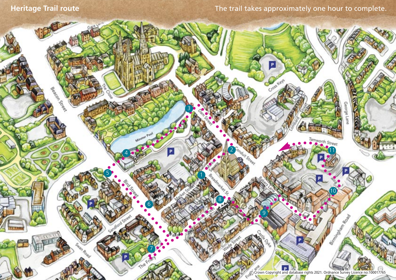des Construction

C Crown Copyright and database rights 2021. Ordnance Survey Licence no:100017765

mworth Street

10

All Charles Read

8

marker

3

P

5

4

6

7

The File

2

9

P

Croster o.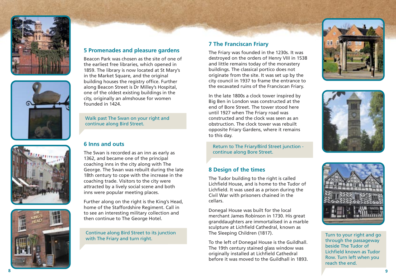







#### **5 Promenades and pleasure gardens**

Beacon Park was chosen as the site of one of the earliest free libraries, which opened in 1859. The library is now located at St Mary's in the Market Square, and the original building houses the registry office. Further along Beacon Street is Dr Milley's Hospital, one of the oldest existing buildings in the city, originally an almshouse for women founded in 1424.

Walk past The Swan on your right and continue along Bird Street.

#### **6 Inns and outs**

The Swan is recorded as an inn as early as 1362, and became one of the principal coaching inns in the city along with The George. The Swan was rebuilt during the late 18th century to cope with the increase in the coaching trade. Visitors to the city were attracted by a lively social scene and both inns were popular meeting places.

Further along on the right is the King's Head, home of the Staffordshire Regiment. Call in to see an interesting military collection and then continue to The George Hotel.

Continue along Bird Street to its junction with The Friary and turn right.

#### **7 The Franciscan Friary**

The Friary was founded in the 1230s. It was destroyed on the orders of Henry VIII in 1538 and little remains today of the monastery buildings. The classical portico does not originate from the site. It was set up by the city council in 1937 to frame the entrance to the excavated ruins of the Franciscan Friary.

In the late 1800s a clock tower inspired by Big Ben in London was constructed at the end of Bore Street. The tower stood here until 1927 when The Friary road was constructed and the clock was seen as an obstruction. The clock tower was rebuilt opposite Friary Gardens, where it remains to this day.

Return to The Friary/Bird Street junction continue along Bore Street.

#### **8 Design of the times**

The Tudor building to the right is called Lichfield House, and is home to the Tudor of Lichfield. It was used as a prison during the Civil War with prisoners chained in the cellars.

Donegal House was built for the local merchant James Robinson in 1730. His great granddaughters are immortalised in a marble sculpture at Lichfield Cathedral, known as The Sleeping Children (1817).

To the left of Donegal House is the Guildhall. The 19th century stained glass window was originally installed at Lichfield Cathedral before it was moved to the Guildhall in 1893.







Turn to your right and go through the passageway beside The Tudor of Lichfield known as Tudor Row. Turn left when you reach the end.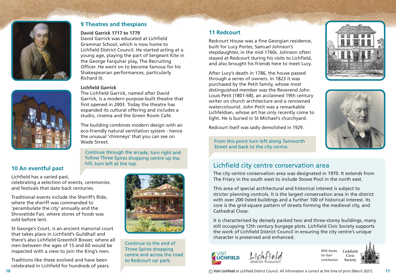

#### **9 Theatres and thespians**

#### **David Garrick 1717 to 1779**

David Garrick was educated at Lichfield Grammar School, which is now home to Lichfield District Council. He started acting at a young age, playing the part of Sergeant Kite in the George Farquhar play, The Recruiting Officer. He went on to become famous for his Shakespearian performances, particularly Richard III.

#### **Lichfield Garrick**

The Lichfield Garrick, named after David Garrick, is a modern purpose-built theatre that first opened in 2003. Today the theatre has expanded its cultural offering and includes a studio, cinema and the Green Room Café.

The building combines modern design with an eco-friendly natural ventilation system - hence the unusual 'chimneys' that you can see on Wade Street. Entertaint the contract of the Street. From this point turn left along Tamworth

Continue through the arcade, turn right and follow Three Spires shopping centre up the hill, turn left at the top.

#### **10 An eventful past**

Lichfield has a varied past, celebrating a selection of events, ceremonies and festivals that date back centuries.

Traditional events include the Sheriff's Ride, where the sheriff was commanded to 'perambulate the city' annually and the Shrovetide Fair, where stores of foods was sold before lent.

St George's Court, is an ancient manorial court that takes place in Lichfield's Guildhall and there's also Lichfield Greenhill Bower, where all men between the ages of 15 and 60 would be inspected with a view to join the King's men.

Traditions like these evolved and have been celebrated in Lichfield for hundreds of years.



Continue to the end of Three Spires shopping centre and across the road to Redcourt car park.

#### **11 Redcourt**

Redcourt House was a fine Georgian residence, built for Lucy Porter, Samuel Johnson's stepdaughter, in the mid-1760s. Johnson often stayed at Redcourt during his visits to Lichfield, and also brought his friends here to meet Lucy.

After Lucy's death in 1786, the house passed through a series of owners. In 1823 it was purchased by the Petit family, whose most distinguished member was the Reverend John Louis Petit (1801-68), an acclaimed 19th century writer on church architecture and a renowned watercolourist. John Petit was a remarkable Lichfeldian, whose art has only recently come to light. He is buried in St Michael's churchyard.

Redcourt itself was sadly demolished in 1929.



Street and back to the city centre.

### Lichfield city centre conservation area

The city centre conservation area was designated in 1970. It extends from The Friary in the south west to include Stowe Pool in the north east.

This area of special architectural and historical interest is subject to stricter planning controls. It is the largest conservation area in the district with over 200 listed buildings and a further 100 of historical interest. Its core is the grid-square pattern of streets forming the medieval city, and Cathedral Close.

It is characterised by densely packed two and three-storey buildings, many still occupying 12th century burgage plots. Lichfield Civic Society supports the work of Lichfield District Council in ensuring the city centre's unique character is preserved and enhanced.







**Civic Society**